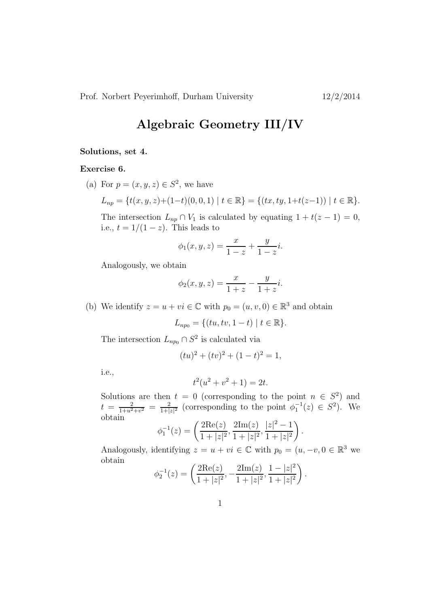## Algebraic Geometry III/IV

## Solutions, set 4.

## Exercise 6.

(a) For  $p = (x, y, z) \in S^2$ , we have

$$
L_{np} = \{t(x, y, z) + (1-t)(0, 0, 1) \mid t \in \mathbb{R}\} = \{(tx, ty, 1+t(z-1)) \mid t \in \mathbb{R}\}.
$$

The intersection  $L_{np} \cap V_1$  is calculated by equating  $1 + t(z - 1) = 0$ , i.e.,  $t = 1/(1-z)$ . This leads to

$$
\phi_1(x, y, z) = \frac{x}{1 - z} + \frac{y}{1 - z}i.
$$

Analogously, we obtain

$$
\phi_2(x, y, z) = \frac{x}{1 + z} - \frac{y}{1 + z}i.
$$

(b) We identify  $z = u + vi \in \mathbb{C}$  with  $p_0 = (u, v, 0) \in \mathbb{R}^3$  and obtain

$$
L_{np_0} = \{ (tu, tv, 1 - t) \mid t \in \mathbb{R} \}.
$$

The intersection  $L_{np_0} \cap S^2$  is calculated via

$$
(tu)^2 + (tv)^2 + (1-t)^2 = 1,
$$

i.e.,

$$
t^2(u^2 + v^2 + 1) = 2t.
$$

Solutions are then  $t = 0$  (corresponding to the point  $n \in S^2$ ) and  $t = \frac{2}{1+u^2+v^2} = \frac{2}{1+|v^2|}$  $\frac{2}{1+|z|^2}$  (corresponding to the point  $\phi_1^{-1}(z) \in S^2$ ). We obtain

$$
\phi_1^{-1}(z) = \left(\frac{2\mathrm{Re}(z)}{1+|z|^2}, \frac{2\mathrm{Im}(z)}{1+|z|^2}, \frac{|z|^2-1}{1+|z|^2}\right)
$$

.

Analogously, identifying  $z = u + vi \in \mathbb{C}$  with  $p_0 = (u, -v, 0 \in \mathbb{R}^3$  we obtain

$$
\phi_2^{-1}(z) = \left(\frac{2\mathrm{Re}(z)}{1+|z|^2}, -\frac{2\mathrm{Im}(z)}{1+|z|^2}, \frac{1-|z|^2}{1+|z|^2}\right).
$$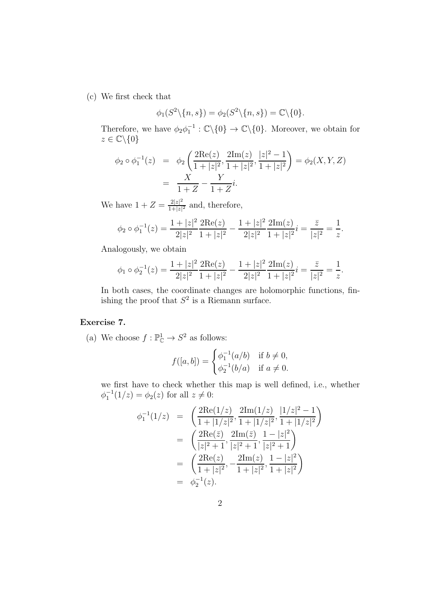(c) We first check that

$$
\phi_1(S^2 \setminus \{n, s\}) = \phi_2(S^2 \setminus \{n, s\}) = \mathbb{C} \setminus \{0\}.
$$

Therefore, we have  $\phi_2 \phi_1^{-1} : \mathbb{C} \backslash \{0\} \to \mathbb{C} \backslash \{0\}$ . Moreover, we obtain for  $z \in \mathbb{C} \backslash \{0\}$ 

$$
\phi_2 \circ \phi_1^{-1}(z) = \phi_2 \left( \frac{2 \text{Re}(z)}{1 + |z|^2}, \frac{2 \text{Im}(z)}{1 + |z|^2}, \frac{|z|^2 - 1}{1 + |z|^2} \right) = \phi_2(X, Y, Z)
$$

$$
= \frac{X}{1 + Z} - \frac{Y}{1 + Z}i.
$$

We have  $1 + Z = \frac{2|z|^2}{1+|z|}$  $\frac{2|z|^2}{1+|z|^2}$  and, therefore,

$$
\phi_2 \circ \phi_1^{-1}(z) = \frac{1+|z|^2}{2|z|^2} \frac{2\mathrm{Re}(z)}{1+|z|^2} - \frac{1+|z|^2}{2|z|^2} \frac{2\mathrm{Im}(z)}{1+|z|^2} i = \frac{\bar{z}}{|z|^2} = \frac{1}{z}.
$$

Analogously, we obtain

$$
\phi_1 \circ \phi_2^{-1}(z) = \frac{1+|z|^2}{2|z|^2} \frac{2\mathrm{Re}(z)}{1+|z|^2} - \frac{1+|z|^2}{2|z|^2} \frac{2\mathrm{Im}(z)}{1+|z|^2} i = \frac{\bar{z}}{|z|^2} = \frac{1}{z}.
$$

In both cases, the coordinate changes are holomorphic functions, finishing the proof that  $S^2$  is a Riemann surface.

## Exercise 7.

(a) We choose  $f: \mathbb{P}^1_{\mathbb{C}} \to S^2$  as follows:

$$
f([a, b]) = \begin{cases} \phi_1^{-1}(a/b) & \text{if } b \neq 0, \\ \phi_2^{-1}(b/a) & \text{if } a \neq 0. \end{cases}
$$

we first have to check whether this map is well defined, i.e., whether  $\phi_1^{-1}(1/z) = \phi_2(z)$  for all  $z \neq 0$ :

$$
\begin{array}{rcl}\n\phi_1^{-1}(1/z) & = & \left(\frac{2\text{Re}(1/z)}{1+|1/z|^2}, \frac{2\text{Im}(1/z)}{1+|1/z|^2}, \frac{|1/z|^2-1}{1+|1/z|^2}\right) \\
& = & \left(\frac{2\text{Re}(z)}{|z|^2+1}, \frac{2\text{Im}(z)}{|z|^2+1}, \frac{1-|z|^2}{|z|^2+1}\right) \\
& = & \left(\frac{2\text{Re}(z)}{1+|z|^2}, -\frac{2\text{Im}(z)}{1+|z|^2}, \frac{1-|z|^2}{1+|z|^2}\right) \\
& = & \phi_2^{-1}(z).\n\end{array}
$$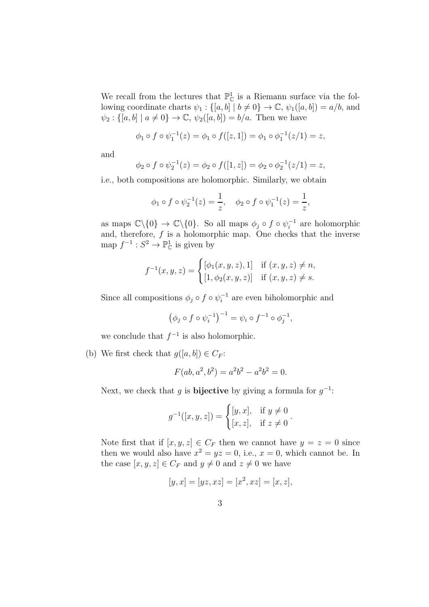We recall from the lectures that  $\mathbb{P}^1_{\mathbb{C}}$  is a Riemann surface via the following coordinate charts  $\psi_1 : \{ [a, b] \mid b \neq 0 \} \to \mathbb{C}, \psi_1([a, b]) = a/b$ , and  $\psi_2 : \{ [a, b] \mid a \neq 0 \} \rightarrow \mathbb{C}, \, \psi_2([a, b]) = b/a.$  Then we have

$$
\phi_1 \circ f \circ \psi_1^{-1}(z) = \phi_1 \circ f([z, 1]) = \phi_1 \circ \phi_1^{-1}(z/1) = z,
$$

and

$$
\phi_2 \circ f \circ \psi_2^{-1}(z) = \phi_2 \circ f([1, z]) = \phi_2 \circ \phi_2^{-1}(z/1) = z,
$$

i.e., both compositions are holomorphic. Similarly, we obtain

$$
\phi_1 \circ f \circ \psi_2^{-1}(z) = \frac{1}{z}, \quad \phi_2 \circ f \circ \psi_1^{-1}(z) = \frac{1}{z},
$$

as maps  $\mathbb{C}\backslash\{0\} \to \mathbb{C}\backslash\{0\}$ . So all maps  $\phi_j \circ f \circ \psi_i^{-1}$  are holomorphic and, therefore,  $f$  is a holomorphic map. One checks that the inverse map  $f^{-1}: S^2 \to \mathbb{P}^1_{\mathbb{C}}$  is given by

$$
f^{-1}(x, y, z) = \begin{cases} [\phi_1(x, y, z), 1] & \text{if } (x, y, z) \neq n, \\ [1, \phi_2(x, y, z)] & \text{if } (x, y, z) \neq s. \end{cases}
$$

Since all compositions  $\phi_j \circ f \circ \psi_i^{-1}$  are even biholomorphic and

$$
(\phi_j \circ f \circ \psi_i^{-1})^{-1} = \psi_i \circ f^{-1} \circ \phi_j^{-1},
$$

we conclude that  $f^{-1}$  is also holomorphic.

(b) We first check that  $g([a, b]) \in C_F$ :

$$
F(ab, a^2, b^2) = a^2b^2 - a^2b^2 = 0.
$$

Next, we check that g is **bijective** by giving a formula for  $g^{-1}$ :

$$
g^{-1}([x, y, z]) = \begin{cases} [y, x], & \text{if } y \neq 0\\ [x, z], & \text{if } z \neq 0 \end{cases}
$$

.

Note first that if  $[x, y, z] \in C_F$  then we cannot have  $y = z = 0$  since then we would also have  $x^2 = yz = 0$ , i.e.,  $x = 0$ , which cannot be. In the case  $[x, y, z] \in C_F$  and  $y \neq 0$  and  $z \neq 0$  we have

$$
[y, x] = [yz, xz] = [x^2, xz] = [x, z],
$$